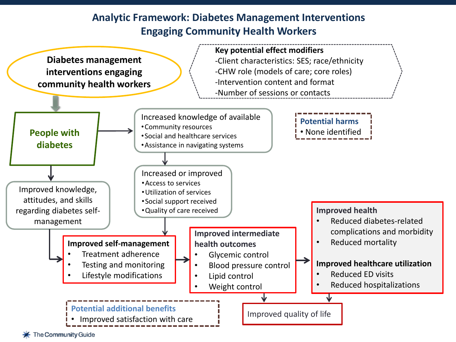## **Analytic Framework: Diabetes Management Interventions Engaging Community Health Workers**